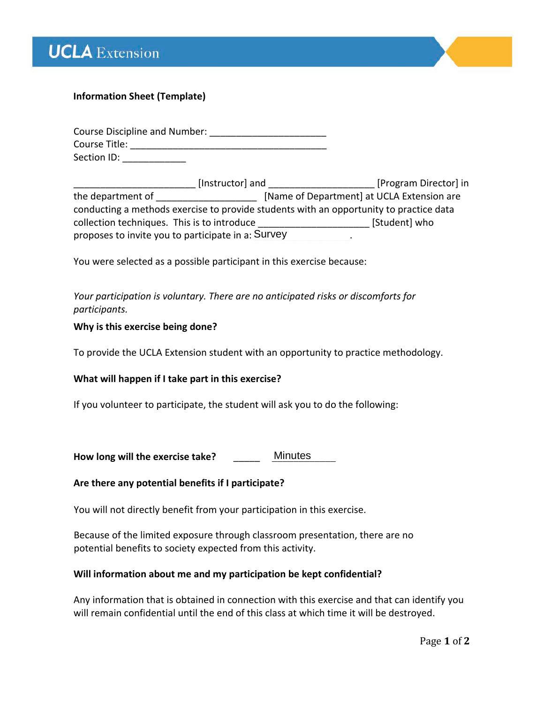



# **Information Sheet (Template)**

| <b>Course Discipline and Number:</b> |  |
|--------------------------------------|--|
| Course Title:                        |  |
| Section ID:                          |  |

| [Instructor] and                                                                       | [Program Director] in                      |
|----------------------------------------------------------------------------------------|--------------------------------------------|
| the department of                                                                      | [Name of Department] at UCLA Extension are |
| conducting a methods exercise to provide students with an opportunity to practice data |                                            |
| collection techniques. This is to introduce                                            | [Student] who                              |
| proposes to invite you to participate in a: Survey                                     |                                            |

You were selected as a possible participant in this exercise because:

*Your participation is voluntary. There are no anticipated risks or discomforts for participants.*

## **Why is this exercise being done?**

To provide the UCLA Extension student with an opportunity to practice methodology.

**What will happen if I take part in this exercise?**

If you volunteer to participate, the student will ask you to do the following:

How long will the exercise take? **Minutes** 

## **Are there any potential benefits if I participate?**

You will not directly benefit from your participation in this exercise.

Because of the limited exposure through classroom presentation, there are no potential benefits to society expected from this activity.

## **Will information about me and my participation be kept confidential?**

Any information that is obtained in connection with this exercise and that can identify you will remain confidential until the end of this class at which time it will be destroyed.